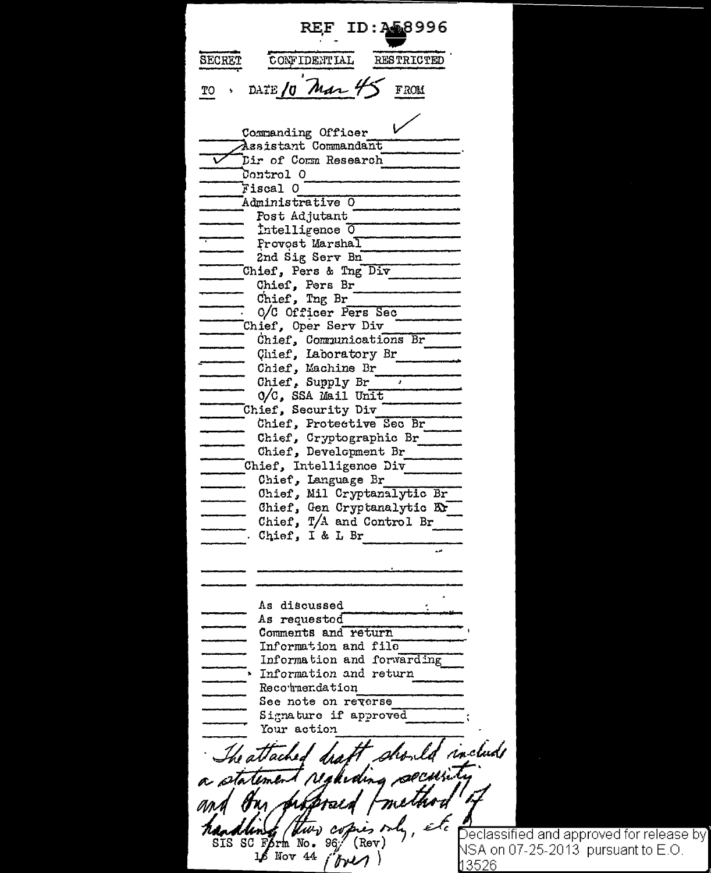ID: 258996 **REF SECRET** CONFIDENTIAL **RESTRICTED** DATE 10 Mar 4 **FROM** TO Commanding Officer Assistant Commandant Dir of Comm Research Control 0 Fiscal 0 Administrative O Post Adjutant Intelligence 0 Provost Marshal 2nd Sig Serv Bn Chief, Pers & Tng Div Chief, Pers Br Chief, Tng Br O/C Officer Pers Sec Chief, Oper Serv Div Chief, Communications Br Chief, Laboratory Br Chief, Machine Br Chief. Supply Br O/C, SSA Mail Unit Chief, Security Div Chief, Protective Sec Br Chief, Cryptographic Br Chief, Development Br Chief, Intelligence Div Chief, Language Br Chief, Mil Cryptanalytic Br Chief, Gen Cryptanalytic Kr Chief, T/A and Control Br Chief, I & L Br As discussed As requested Comments and return Information and file Information and forwarding Information and return Recounendation See note on reverse Signature if approved Your action include The attached 4 pecui yur cop SIS SC Form No. 96 (Rev) 16 Nov 44 i brezi

[Declassified and approved for release by NSA on 07-25-2013 pursuant to E.O. 13526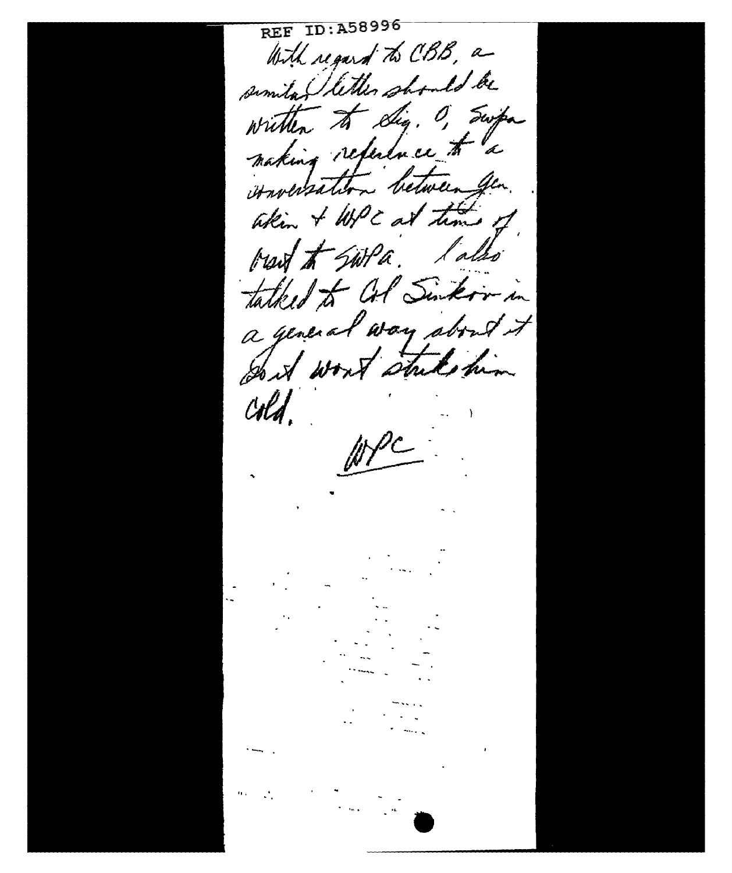REF ID:A58996 With regard to CBB, a similar littles should be written to dig. O, Swipa making reference to a conversation between for. Whim & Will at time of bread to Switch. later tatked to Col Sinkir in a general way about it Don't won't stude him cold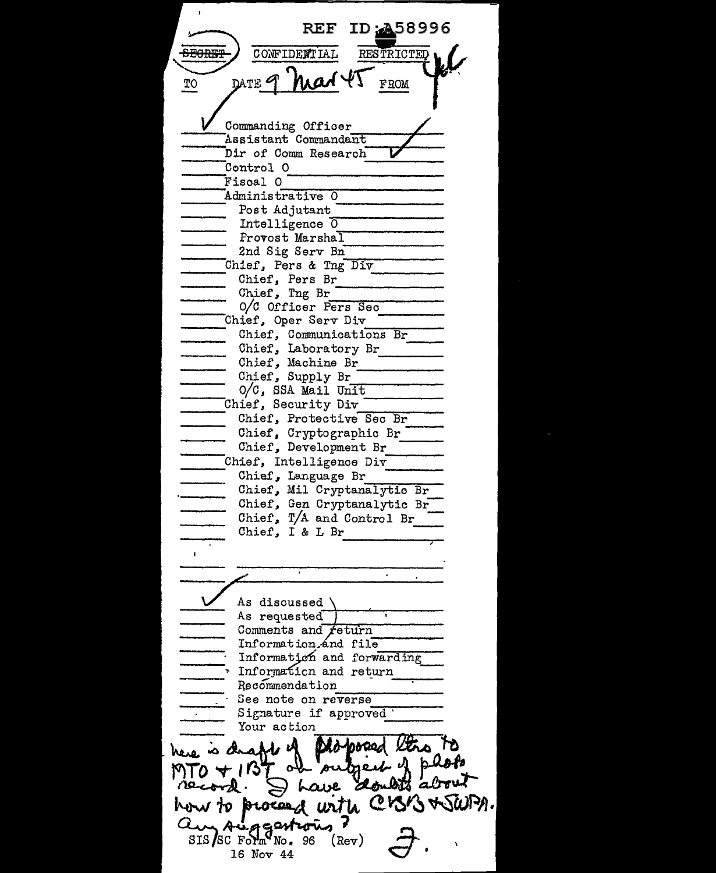REF ID: 358996 REF ID: 15899  $\overline{f_{\text{TO}}}$  pate of max  $45$   $_{\text{FROM}}$ Commanding Officer Assistant Commandant Dir of Comm Research Fiscal O<br>Fiscal O Control 0 Control O<br>Fiscal O<br>Administrative O<br>Post Adjutant Intelligence 0 Provost Marshal 2nd Sig Serv Bn --=,.......----- Chief, Pers & Tng Div --- Chief, Pers Br ----- Ch.ief 1 Tng Br -------- o/c Officer P~e-r\_s\_,,,S\_e\_c \_\_\_\_\_ \_ ontier, ing br<br>
O/C Officer Pers Sec<br>
Chief, Oper Serv Div Chief, Communications Br The Chief, Communications Br<br>
Chief, Laboratory Br<br>
Chief, Machine Br<br>
Chief, Supply Br<br>
O/C, SSA Mail Unit O/C, SSA Mail Unit<br>Chief, Security Div<br>Chief, Protective Sec Br Chief, Protective Sec Br<br>
Chief, Cryptographic Br<br>
Chief, Development Br<br>
Chief, Intelligence Div<br>
Chief, Language Br<br>
Chief, Mil Cryptanalytic Br Chief, Mil Cryptanalytic Br--<br>Chief, Gen Cryptanalytic Br Chief,  $T/A$  and Control Br<br>Chief, I & L Br Ţ As discussed \<br>As requested ,<br>Comments and *f*eturn Information.And file Information and forwarding  $\overline{\phantom{a}}$  Informaticn and return  $\overline{\phantom{a}}$  Recommendation See note on reverse Sig:!lature if approved ----- · Your action ---- here is draft of phopoeed the TO<br>MTO + 1BT or outpert of photo<br>Tecord. I have doubts about<br>how to proceed with CBB + Su to process with CK  $SIS/SC$   $F\circ Fm^QN_0$ . 96  $(Rev)$ 16 Nov 44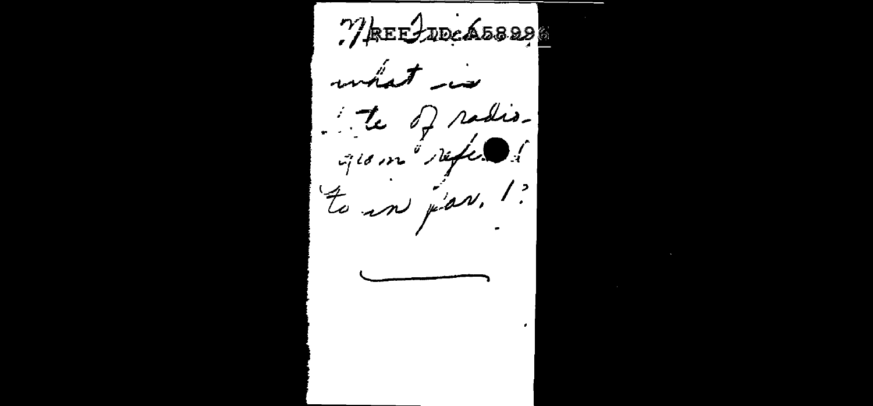WEELDECA5829 what is te of radioto in jar. !?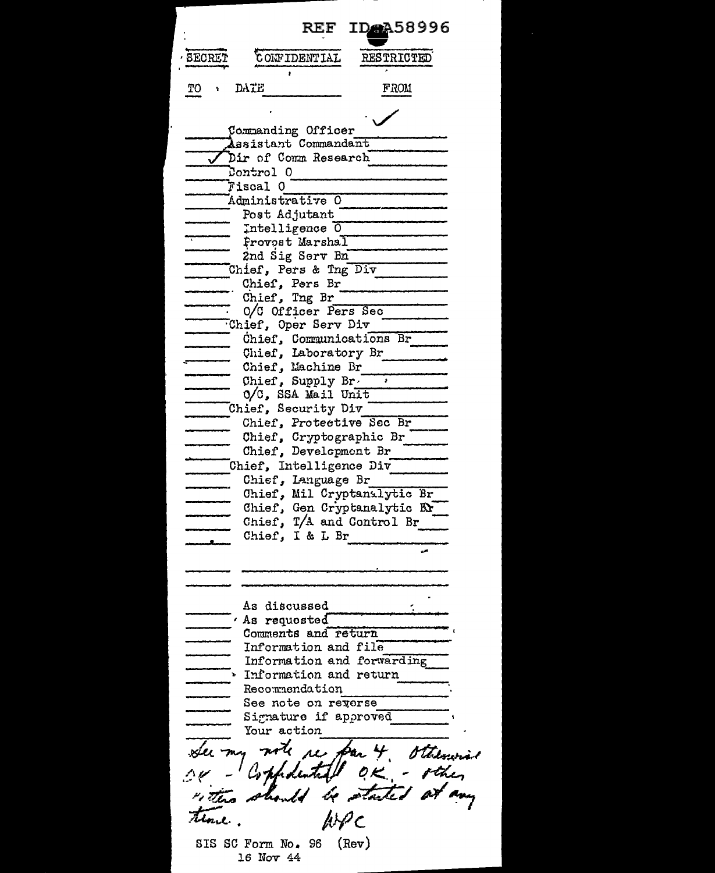| REF IDAA58996                                     |
|---------------------------------------------------|
| SECRET<br>CONFIDENTIAL<br>RESTRICTED              |
| DATE<br>FROM<br>TO                                |
| Commanding Officer                                |
| Assistant Commandant                              |
| Dir of Comm Research<br>Control 0                 |
| Fiscal O                                          |
| Administrative O                                  |
| Post Adjutant                                     |
| Intelligence 0                                    |
| Provost Marshal                                   |
| 2nd Sig Serv Bn                                   |
| Chief, Pers & Tng Div<br>Chief. Pers Br           |
| Chief, Tng Br                                     |
| 0/C Officer Pers Sec                              |
| Chief, Oper Serv Div                              |
| Chief, Communications Br                          |
| Chief, Laboratory Br                              |
| Chief, Machine Br<br>Chief, Supply Br.            |
| O/C, SSA Mail Unit                                |
| Chief, Security Div                               |
| Chief, Protective Sec Br                          |
| Chief, Cryptographic Br                           |
| Chief, Development Br                             |
| Chief, Intelligence Div                           |
| Chief, Language Br<br>Chief, Mil Cryptanalytic Br |
| Chief, Gen Cryptanalytic Er                       |
| Chief, T/A and Control Br                         |
| Chief, I & L Br                                   |
|                                                   |
|                                                   |
|                                                   |
| <b>As discussed</b>                               |
| As requosted                                      |
| Comments and return                               |
| Information and file                              |
| Information and forwarding                        |
| Information and return<br>Recommendation          |
| See note on reverse                               |
| Signature if approved                             |
| Your action                                       |
| $\overline{a}$<br><i>otherw</i>                   |
|                                                   |
|                                                   |
|                                                   |
| (Rev)<br>SIS SC Form No. 96<br>16 Nov 44          |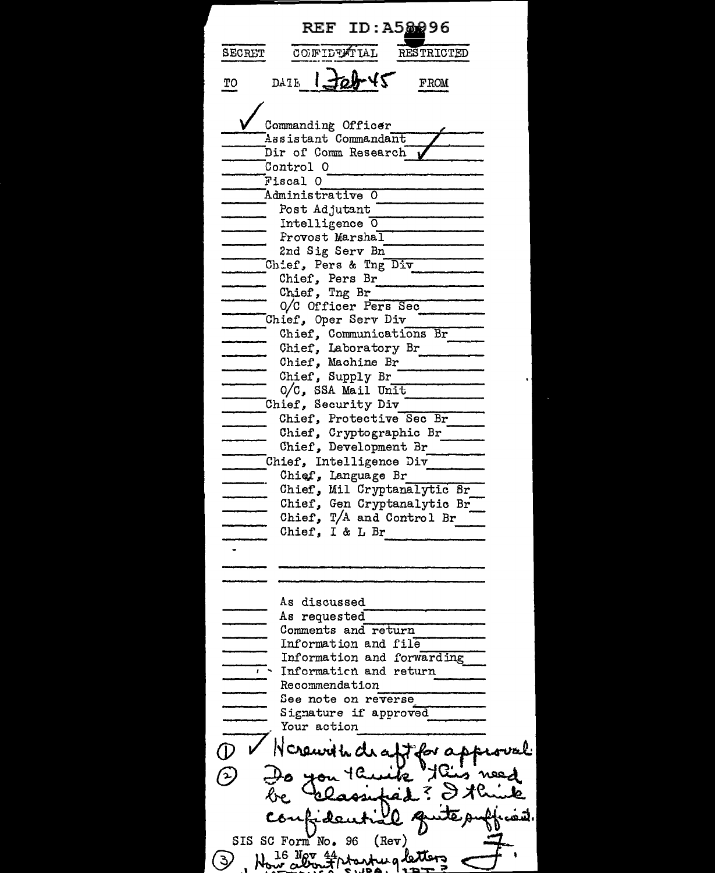REF ID: A58296 SECRET COFIDTATIAL RESTRICTED TO DATE  $1.10 + 45$  FROM Commanding Officer  $A$ asistant Commandant ----Dir of Comm Research **\I** \_\_\_ \_\_\_,\_ Control 0 ----------- Administrative O Post Adjutant<br>Intelligence 0 Provost Marshal 2nd Sig Serv Bn Chief, Pers & Tng Div<br>
Chief, Pers Br<br>
Chief, Tng Br  $O/C$  Officer Pers Sec Chief, Oper Serv Div ------ --------- Chief, Communications Br ---- Chief, Laboratory Br Chief, Laboratory Br<br>Chief, Laboratory Br<br>Chief, Machine Br<br>Chief, Supply Br<br>0/C, SSA Mail Unit Chief, Security Div<br>
Chief, Protective Sec Br<br>
Chief, Cryptographic Br<br>
Chief, Development Br ----- Chief, Intelligence Div --- Chi EU', Language Br ------ -.,,.--,-...,....-.,,.-- Chief, Mil Cryptanalytic Br Chief, Gen Cryptanalytic Br Chief,  $T/A$  and Control Br As discussed As requested<br>Comments and return Information and file<br>Information and forwarding • ... Informa ticn and return -- --- Recom.~endation See note on re\_v\_e\_r\_s\_e \_\_\_\_ \_ See note on reverse<br>Signature if approved<br>Your action See note on reverse<br>Signature if approved<br>Your action<br>D V Nereuvith draft for approval (1) Pr Nerework de affirmation of provention of the Capture of Capture of Capture of Capture of Capture of Capture of Capture of Capture of Capture of Capture of Capture of Capture of Capture of Capture of Capture of Captu  $~\ldots$ confidential function SIS SC Form No. 96 (Rev)<br>3 . Now about the working letters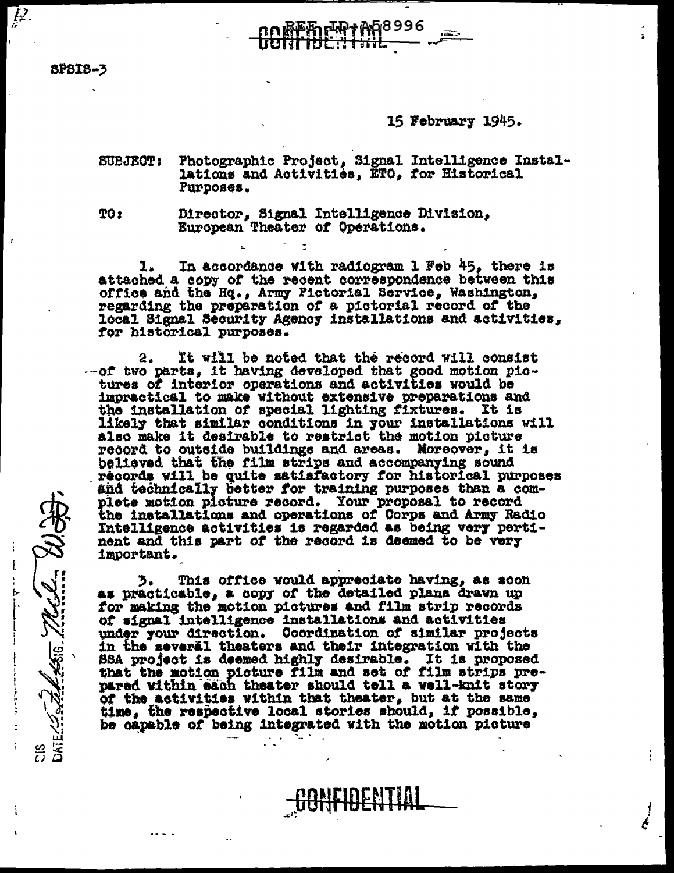**SP8IS-3** 

CIS JAN 19

 $\overline{l^2}$ 

## 16 February 1945.

**SUBJECT:** Photographic Project, Signal Intelligence Installations and Activities, ETO, for Historical Purposes.

₩₩₩₩¤€8996

TO:

Director, Signal Intelligence Division, European Theater of Operations.

In accordance with radiogram 1 Feb 45, there is attached a copy of the recent correspondence between this office and the Hq., Army Pictorial Service, Washington, regarding the preparation of a pictorial record of the local Signal Security Agency installations and activities, for historical purposes.

It will be noted that the record will consist 2.  $-$ -of two parts, it having developed that good motion pictures of interior operations and activities would be impractical to make without extensive preparations and the installation of special lighting fixtures. It is likely that similar conditions in your installations will also make it desirable to restrict the motion picture record to outside buildings and areas. Moreover, it is believed that the film strips and accompanying sound records will be quite satisfactory for historical purposes and technically better for training purposes than a complete motion picture record. Your proposal to record the installations and operations of Corps and Army Radio Intelligence activities is regarded as being very pertinent and this part of the record is deemed to be very important.

This office would appreciate having, as soon 3. as practicable, a copy of the detailed plans drawn up for making the motion pictures and film strip records of signal intelligence installations and activities under your direction. Coordination of similar projects in the several theaters and their integration with the SSA project is deemed highly desirable. It is proposed that the motion picture film and set of film strips prepared within each theater should tell a well-knit story of the activities within that theater, but at the same time, the respective local stories should, if possible, be capable of being integrated with the motion picture

<u>DENTIAL</u>